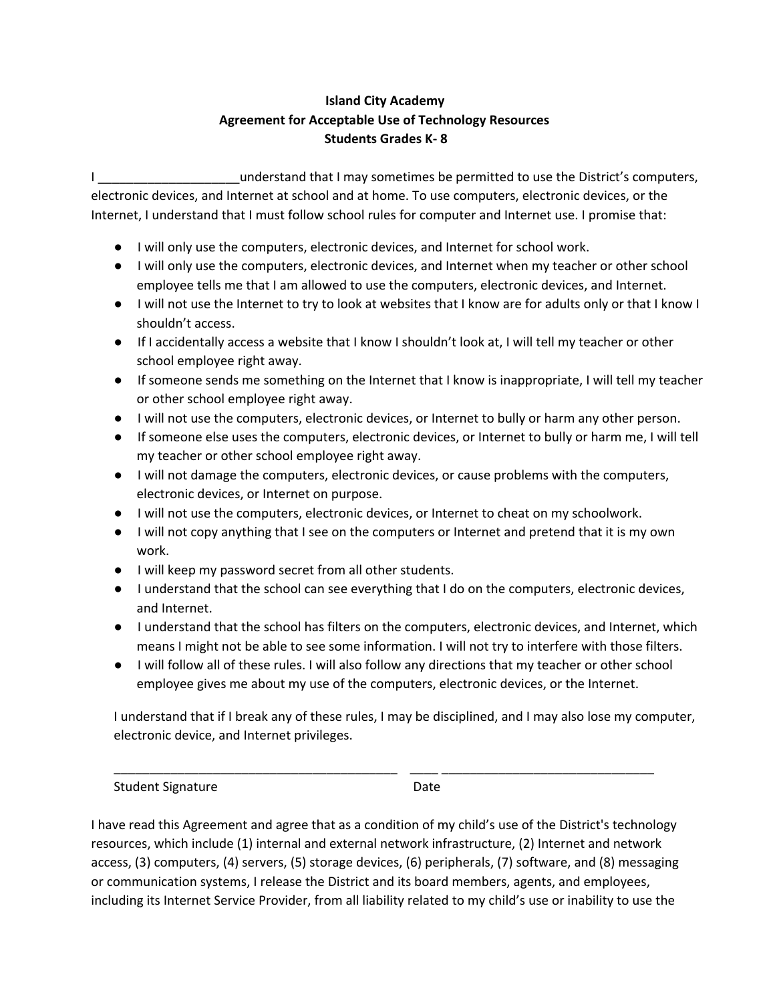## **Island City Academy Agreement for Acceptable Use of Technology Resources Students Grades K- 8**

I **I Example 2** and interest that I may sometimes be permitted to use the District's computers, electronic devices, and Internet at school and at home. To use computers, electronic devices, or the Internet, I understand that I must follow school rules for computer and Internet use. I promise that:

- I will only use the computers, electronic devices, and Internet for school work.
- I will only use the computers, electronic devices, and Internet when my teacher or other school employee tells me that I am allowed to use the computers, electronic devices, and Internet.
- I will not use the Internet to try to look at websites that I know are for adults only or that I know I shouldn't access.
- If I accidentally access a website that I know I shouldn't look at, I will tell my teacher or other school employee right away.
- If someone sends me something on the Internet that I know is inappropriate, I will tell my teacher or other school employee right away.
- I will not use the computers, electronic devices, or Internet to bully or harm any other person.
- If someone else uses the computers, electronic devices, or Internet to bully or harm me, I will tell my teacher or other school employee right away.
- I will not damage the computers, electronic devices, or cause problems with the computers, electronic devices, or Internet on purpose.
- I will not use the computers, electronic devices, or Internet to cheat on my schoolwork.
- I will not copy anything that I see on the computers or Internet and pretend that it is my own work.
- I will keep my password secret from all other students.
- I understand that the school can see everything that I do on the computers, electronic devices, and Internet.
- I understand that the school has filters on the computers, electronic devices, and Internet, which means I might not be able to see some information. I will not try to interfere with those filters.
- I will follow all of these rules. I will also follow any directions that my teacher or other school employee gives me about my use of the computers, electronic devices, or the Internet.

I understand that if I break any of these rules, I may be disciplined, and I may also lose my computer, electronic device, and Internet privileges.

Student Signature Date

I have read this Agreement and agree that as a condition of my child's use of the District's technology resources, which include (1) internal and external network infrastructure, (2) Internet and network access, (3) computers, (4) servers, (5) storage devices, (6) peripherals, (7) software, and (8) messaging or communication systems, I release the District and its board members, agents, and employees, including its Internet Service Provider, from all liability related to my child's use or inability to use the

\_\_\_\_\_\_\_\_\_\_\_\_\_\_\_\_\_\_\_\_\_\_\_\_\_\_\_\_\_\_\_\_\_\_\_\_\_\_\_\_ \_\_\_\_ \_\_\_\_\_\_\_\_\_\_\_\_\_\_\_\_\_\_\_\_\_\_\_\_\_\_\_\_\_\_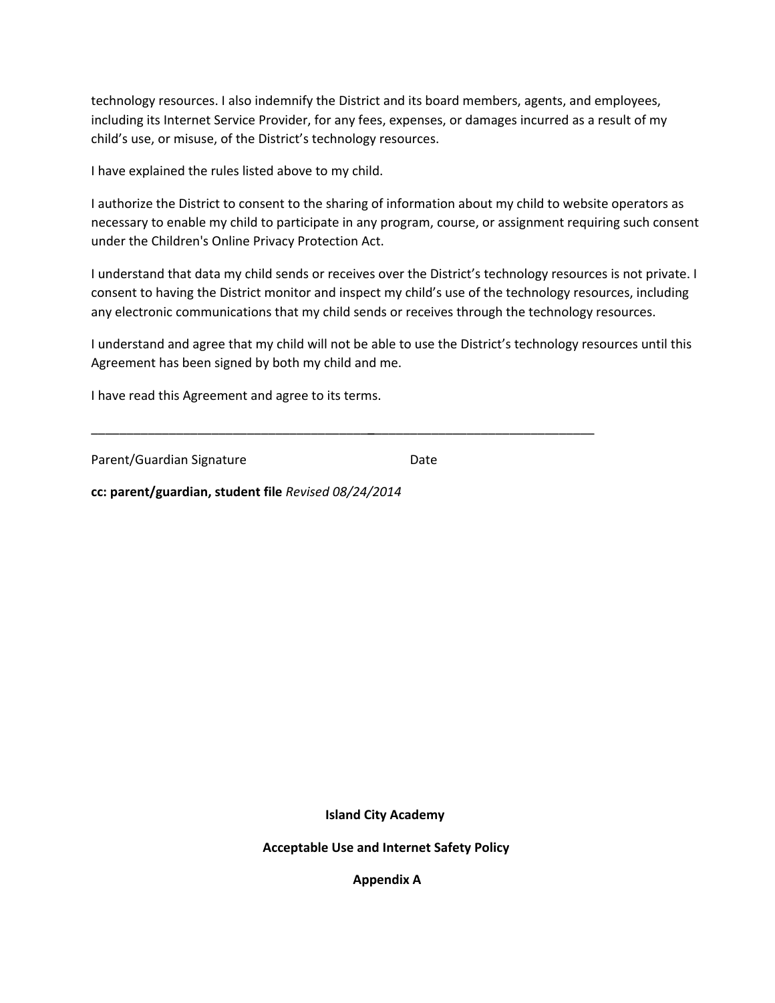technology resources. I also indemnify the District and its board members, agents, and employees, including its Internet Service Provider, for any fees, expenses, or damages incurred as a result of my child's use, or misuse, of the District's technology resources.

I have explained the rules listed above to my child.

I authorize the District to consent to the sharing of information about my child to website operators as necessary to enable my child to participate in any program, course, or assignment requiring such consent under the Children's Online Privacy Protection Act.

I understand that data my child sends or receives over the District's technology resources is not private. I consent to having the District monitor and inspect my child's use of the technology resources, including any electronic communications that my child sends or receives through the technology resources.

I understand and agree that my child will not be able to use the District's technology resources until this Agreement has been signed by both my child and me.

\_\_\_\_\_\_\_\_\_\_\_\_\_\_\_\_\_\_\_\_\_\_\_\_\_\_\_\_\_\_\_\_\_\_\_\_\_\_\_\_\_\_\_\_\_\_\_\_\_\_\_\_\_\_\_\_\_\_\_\_\_\_\_\_\_\_\_\_\_\_\_

I have read this Agreement and agree to its terms.

Parent/Guardian Signature Date

**cc: parent/guardian, student file** *Revised 08/24/2014*

**Island City Academy**

**Acceptable Use and Internet Safety Policy**

**Appendix A**